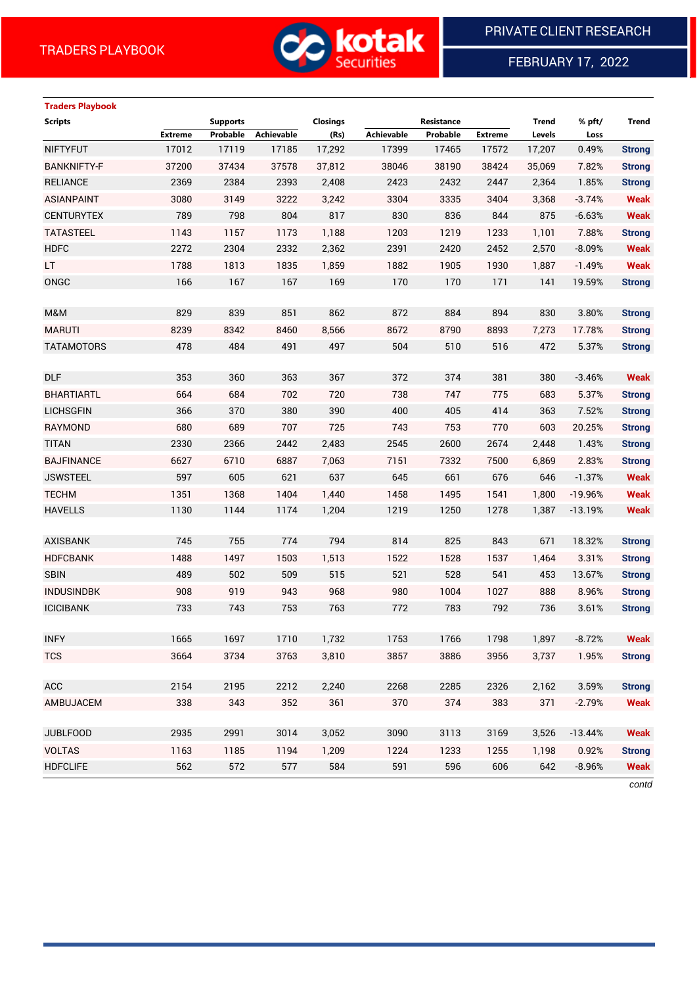

FEBRUARY 17, 2022

## **Traders Playbook**

| Extreme<br>Probable<br>(Rs)<br>Achievable<br>Probable<br><b>Extreme</b><br>Levels<br>Loss<br>17012<br>17119<br>17,292<br>0.49%<br><b>NIFTYFUT</b><br>17185<br>17399<br>17465<br>17572<br>17,207<br><b>Strong</b><br><b>BANKNIFTY-F</b><br>37200<br>37434<br>37578<br>38190<br>37,812<br>38046<br>38424<br>35,069<br>7.82%<br><b>Strong</b><br>2369<br>2384<br>2393<br><b>RELIANCE</b><br>2,408<br>2423<br>2432<br>2447<br>2,364<br>1.85%<br><b>Strong</b><br><b>ASIANPAINT</b><br>3080<br>3149<br>3222<br>3,242<br>3304<br>3335<br>3404<br><b>Weak</b><br>3,368<br>$-3.74%$<br>804<br><b>CENTURYTEX</b><br>789<br>798<br>817<br>830<br>836<br>875<br><b>Weak</b><br>844<br>$-6.63%$<br><b>TATASTEEL</b><br>1157<br>1203<br>1219<br>7.88%<br>1143<br>1173<br>1,188<br>1233<br>1,101<br><b>Strong</b><br><b>HDFC</b><br>2272<br>2304<br>2332<br>2,362<br>2391<br>2420<br>2452<br>2,570<br><b>Weak</b><br>$-8.09%$<br><b>Weak</b><br>LT.<br>1788<br>1813<br>1835<br>1,859<br>1882<br>1905<br>1930<br>1,887<br>$-1.49%$<br>ONGC<br>166<br>167<br>167<br>169<br>170<br>170<br>171<br>141<br>19.59%<br><b>Strong</b><br>829<br>839<br>851<br>862<br>872<br>884<br>894<br>830<br>3.80%<br>M&M<br><b>Strong</b><br><b>MARUTI</b><br>8239<br>8342<br>8460<br>8,566<br>8672<br>8790<br>8893<br>7,273<br>17.78%<br><b>Strong</b><br>478<br>484<br>491<br>497<br>504<br>510<br>516<br><b>TATAMOTORS</b><br>472<br>5.37%<br><b>Strong</b><br><b>DLF</b><br>353<br>360<br>363<br>367<br>372<br>374<br>381<br>380<br><b>Weak</b><br>$-3.46%$<br><b>BHARTIARTL</b><br>664<br>684<br>702<br>720<br>738<br>747<br>775<br>683<br>5.37%<br><b>Strong</b><br><b>LICHSGFIN</b><br>366<br>370<br>380<br>390<br>400<br>405<br>414<br>7.52%<br>363<br><b>Strong</b><br>680<br>689<br><b>RAYMOND</b><br>707<br>725<br>743<br>753<br>770<br>603<br>20.25%<br><b>Strong</b><br>2330<br>2366<br>2442<br>2,483<br>2545<br>2600<br>2674<br><b>TITAN</b><br>2,448<br>1.43%<br><b>Strong</b><br>6627<br>6710<br>6887<br>7,063<br>7151<br>7332<br><b>BAJFINANCE</b><br>7500<br>6,869<br>2.83%<br><b>Strong</b><br>597<br>605<br>621<br>661<br>637<br>645<br>676<br>646<br><b>Weak</b><br><b>JSWSTEEL</b><br>$-1.37%$<br><b>TECHM</b><br>1351<br>1368<br>1404<br>1,440<br>1458<br>1495<br>1541<br>1,800<br><b>Weak</b><br>$-19.96%$<br><b>HAVELLS</b><br>1130<br>1144<br>1174<br>1,204<br>1219<br>1250<br>1278<br><b>Weak</b><br>1,387<br>$-13.19%$<br>745<br>755<br>814<br>774<br>794<br>825<br>843<br>671<br>18.32%<br><b>AXISBANK</b><br><b>Strong</b><br>1503<br>1528<br><b>HDFCBANK</b><br>1488<br>1497<br>1,513<br>1522<br>1537<br>1,464<br>3.31%<br><b>Strong</b><br><b>SBIN</b><br>489<br>502<br>509<br>515<br>521<br>528<br>541<br>453<br>13.67%<br><b>Strong</b><br>919<br><b>INDUSINDBK</b><br>908<br>943<br>968<br>980<br>1004<br>1027<br>888<br>8.96%<br><b>Strong</b> | <b>Scripts</b> | <b>Supports</b> |            | <b>Closings</b> | Resistance | <b>Trend</b> | % pft/ | <b>Trend</b> |
|--------------------------------------------------------------------------------------------------------------------------------------------------------------------------------------------------------------------------------------------------------------------------------------------------------------------------------------------------------------------------------------------------------------------------------------------------------------------------------------------------------------------------------------------------------------------------------------------------------------------------------------------------------------------------------------------------------------------------------------------------------------------------------------------------------------------------------------------------------------------------------------------------------------------------------------------------------------------------------------------------------------------------------------------------------------------------------------------------------------------------------------------------------------------------------------------------------------------------------------------------------------------------------------------------------------------------------------------------------------------------------------------------------------------------------------------------------------------------------------------------------------------------------------------------------------------------------------------------------------------------------------------------------------------------------------------------------------------------------------------------------------------------------------------------------------------------------------------------------------------------------------------------------------------------------------------------------------------------------------------------------------------------------------------------------------------------------------------------------------------------------------------------------------------------------------------------------------------------------------------------------------------------------------------------------------------------------------------------------------------------------------------------------------------------------------------------------------------------------------------------------------------------------------------------------------------------------------------------------------------------------------------------------------------------------------------------------------------------------------------------------------------------------------------------------------------------------------------------|----------------|-----------------|------------|-----------------|------------|--------------|--------|--------------|
|                                                                                                                                                                                                                                                                                                                                                                                                                                                                                                                                                                                                                                                                                                                                                                                                                                                                                                                                                                                                                                                                                                                                                                                                                                                                                                                                                                                                                                                                                                                                                                                                                                                                                                                                                                                                                                                                                                                                                                                                                                                                                                                                                                                                                                                                                                                                                                                                                                                                                                                                                                                                                                                                                                                                                                                                                                                  |                |                 | Achievable |                 |            |              |        |              |
|                                                                                                                                                                                                                                                                                                                                                                                                                                                                                                                                                                                                                                                                                                                                                                                                                                                                                                                                                                                                                                                                                                                                                                                                                                                                                                                                                                                                                                                                                                                                                                                                                                                                                                                                                                                                                                                                                                                                                                                                                                                                                                                                                                                                                                                                                                                                                                                                                                                                                                                                                                                                                                                                                                                                                                                                                                                  |                |                 |            |                 |            |              |        |              |
|                                                                                                                                                                                                                                                                                                                                                                                                                                                                                                                                                                                                                                                                                                                                                                                                                                                                                                                                                                                                                                                                                                                                                                                                                                                                                                                                                                                                                                                                                                                                                                                                                                                                                                                                                                                                                                                                                                                                                                                                                                                                                                                                                                                                                                                                                                                                                                                                                                                                                                                                                                                                                                                                                                                                                                                                                                                  |                |                 |            |                 |            |              |        |              |
|                                                                                                                                                                                                                                                                                                                                                                                                                                                                                                                                                                                                                                                                                                                                                                                                                                                                                                                                                                                                                                                                                                                                                                                                                                                                                                                                                                                                                                                                                                                                                                                                                                                                                                                                                                                                                                                                                                                                                                                                                                                                                                                                                                                                                                                                                                                                                                                                                                                                                                                                                                                                                                                                                                                                                                                                                                                  |                |                 |            |                 |            |              |        |              |
|                                                                                                                                                                                                                                                                                                                                                                                                                                                                                                                                                                                                                                                                                                                                                                                                                                                                                                                                                                                                                                                                                                                                                                                                                                                                                                                                                                                                                                                                                                                                                                                                                                                                                                                                                                                                                                                                                                                                                                                                                                                                                                                                                                                                                                                                                                                                                                                                                                                                                                                                                                                                                                                                                                                                                                                                                                                  |                |                 |            |                 |            |              |        |              |
|                                                                                                                                                                                                                                                                                                                                                                                                                                                                                                                                                                                                                                                                                                                                                                                                                                                                                                                                                                                                                                                                                                                                                                                                                                                                                                                                                                                                                                                                                                                                                                                                                                                                                                                                                                                                                                                                                                                                                                                                                                                                                                                                                                                                                                                                                                                                                                                                                                                                                                                                                                                                                                                                                                                                                                                                                                                  |                |                 |            |                 |            |              |        |              |
|                                                                                                                                                                                                                                                                                                                                                                                                                                                                                                                                                                                                                                                                                                                                                                                                                                                                                                                                                                                                                                                                                                                                                                                                                                                                                                                                                                                                                                                                                                                                                                                                                                                                                                                                                                                                                                                                                                                                                                                                                                                                                                                                                                                                                                                                                                                                                                                                                                                                                                                                                                                                                                                                                                                                                                                                                                                  |                |                 |            |                 |            |              |        |              |
|                                                                                                                                                                                                                                                                                                                                                                                                                                                                                                                                                                                                                                                                                                                                                                                                                                                                                                                                                                                                                                                                                                                                                                                                                                                                                                                                                                                                                                                                                                                                                                                                                                                                                                                                                                                                                                                                                                                                                                                                                                                                                                                                                                                                                                                                                                                                                                                                                                                                                                                                                                                                                                                                                                                                                                                                                                                  |                |                 |            |                 |            |              |        |              |
|                                                                                                                                                                                                                                                                                                                                                                                                                                                                                                                                                                                                                                                                                                                                                                                                                                                                                                                                                                                                                                                                                                                                                                                                                                                                                                                                                                                                                                                                                                                                                                                                                                                                                                                                                                                                                                                                                                                                                                                                                                                                                                                                                                                                                                                                                                                                                                                                                                                                                                                                                                                                                                                                                                                                                                                                                                                  |                |                 |            |                 |            |              |        |              |
|                                                                                                                                                                                                                                                                                                                                                                                                                                                                                                                                                                                                                                                                                                                                                                                                                                                                                                                                                                                                                                                                                                                                                                                                                                                                                                                                                                                                                                                                                                                                                                                                                                                                                                                                                                                                                                                                                                                                                                                                                                                                                                                                                                                                                                                                                                                                                                                                                                                                                                                                                                                                                                                                                                                                                                                                                                                  |                |                 |            |                 |            |              |        |              |
|                                                                                                                                                                                                                                                                                                                                                                                                                                                                                                                                                                                                                                                                                                                                                                                                                                                                                                                                                                                                                                                                                                                                                                                                                                                                                                                                                                                                                                                                                                                                                                                                                                                                                                                                                                                                                                                                                                                                                                                                                                                                                                                                                                                                                                                                                                                                                                                                                                                                                                                                                                                                                                                                                                                                                                                                                                                  |                |                 |            |                 |            |              |        |              |
|                                                                                                                                                                                                                                                                                                                                                                                                                                                                                                                                                                                                                                                                                                                                                                                                                                                                                                                                                                                                                                                                                                                                                                                                                                                                                                                                                                                                                                                                                                                                                                                                                                                                                                                                                                                                                                                                                                                                                                                                                                                                                                                                                                                                                                                                                                                                                                                                                                                                                                                                                                                                                                                                                                                                                                                                                                                  |                |                 |            |                 |            |              |        |              |
|                                                                                                                                                                                                                                                                                                                                                                                                                                                                                                                                                                                                                                                                                                                                                                                                                                                                                                                                                                                                                                                                                                                                                                                                                                                                                                                                                                                                                                                                                                                                                                                                                                                                                                                                                                                                                                                                                                                                                                                                                                                                                                                                                                                                                                                                                                                                                                                                                                                                                                                                                                                                                                                                                                                                                                                                                                                  |                |                 |            |                 |            |              |        |              |
|                                                                                                                                                                                                                                                                                                                                                                                                                                                                                                                                                                                                                                                                                                                                                                                                                                                                                                                                                                                                                                                                                                                                                                                                                                                                                                                                                                                                                                                                                                                                                                                                                                                                                                                                                                                                                                                                                                                                                                                                                                                                                                                                                                                                                                                                                                                                                                                                                                                                                                                                                                                                                                                                                                                                                                                                                                                  |                |                 |            |                 |            |              |        |              |
|                                                                                                                                                                                                                                                                                                                                                                                                                                                                                                                                                                                                                                                                                                                                                                                                                                                                                                                                                                                                                                                                                                                                                                                                                                                                                                                                                                                                                                                                                                                                                                                                                                                                                                                                                                                                                                                                                                                                                                                                                                                                                                                                                                                                                                                                                                                                                                                                                                                                                                                                                                                                                                                                                                                                                                                                                                                  |                |                 |            |                 |            |              |        |              |
|                                                                                                                                                                                                                                                                                                                                                                                                                                                                                                                                                                                                                                                                                                                                                                                                                                                                                                                                                                                                                                                                                                                                                                                                                                                                                                                                                                                                                                                                                                                                                                                                                                                                                                                                                                                                                                                                                                                                                                                                                                                                                                                                                                                                                                                                                                                                                                                                                                                                                                                                                                                                                                                                                                                                                                                                                                                  |                |                 |            |                 |            |              |        |              |
|                                                                                                                                                                                                                                                                                                                                                                                                                                                                                                                                                                                                                                                                                                                                                                                                                                                                                                                                                                                                                                                                                                                                                                                                                                                                                                                                                                                                                                                                                                                                                                                                                                                                                                                                                                                                                                                                                                                                                                                                                                                                                                                                                                                                                                                                                                                                                                                                                                                                                                                                                                                                                                                                                                                                                                                                                                                  |                |                 |            |                 |            |              |        |              |
|                                                                                                                                                                                                                                                                                                                                                                                                                                                                                                                                                                                                                                                                                                                                                                                                                                                                                                                                                                                                                                                                                                                                                                                                                                                                                                                                                                                                                                                                                                                                                                                                                                                                                                                                                                                                                                                                                                                                                                                                                                                                                                                                                                                                                                                                                                                                                                                                                                                                                                                                                                                                                                                                                                                                                                                                                                                  |                |                 |            |                 |            |              |        |              |
|                                                                                                                                                                                                                                                                                                                                                                                                                                                                                                                                                                                                                                                                                                                                                                                                                                                                                                                                                                                                                                                                                                                                                                                                                                                                                                                                                                                                                                                                                                                                                                                                                                                                                                                                                                                                                                                                                                                                                                                                                                                                                                                                                                                                                                                                                                                                                                                                                                                                                                                                                                                                                                                                                                                                                                                                                                                  |                |                 |            |                 |            |              |        |              |
|                                                                                                                                                                                                                                                                                                                                                                                                                                                                                                                                                                                                                                                                                                                                                                                                                                                                                                                                                                                                                                                                                                                                                                                                                                                                                                                                                                                                                                                                                                                                                                                                                                                                                                                                                                                                                                                                                                                                                                                                                                                                                                                                                                                                                                                                                                                                                                                                                                                                                                                                                                                                                                                                                                                                                                                                                                                  |                |                 |            |                 |            |              |        |              |
|                                                                                                                                                                                                                                                                                                                                                                                                                                                                                                                                                                                                                                                                                                                                                                                                                                                                                                                                                                                                                                                                                                                                                                                                                                                                                                                                                                                                                                                                                                                                                                                                                                                                                                                                                                                                                                                                                                                                                                                                                                                                                                                                                                                                                                                                                                                                                                                                                                                                                                                                                                                                                                                                                                                                                                                                                                                  |                |                 |            |                 |            |              |        |              |
|                                                                                                                                                                                                                                                                                                                                                                                                                                                                                                                                                                                                                                                                                                                                                                                                                                                                                                                                                                                                                                                                                                                                                                                                                                                                                                                                                                                                                                                                                                                                                                                                                                                                                                                                                                                                                                                                                                                                                                                                                                                                                                                                                                                                                                                                                                                                                                                                                                                                                                                                                                                                                                                                                                                                                                                                                                                  |                |                 |            |                 |            |              |        |              |
|                                                                                                                                                                                                                                                                                                                                                                                                                                                                                                                                                                                                                                                                                                                                                                                                                                                                                                                                                                                                                                                                                                                                                                                                                                                                                                                                                                                                                                                                                                                                                                                                                                                                                                                                                                                                                                                                                                                                                                                                                                                                                                                                                                                                                                                                                                                                                                                                                                                                                                                                                                                                                                                                                                                                                                                                                                                  |                |                 |            |                 |            |              |        |              |
|                                                                                                                                                                                                                                                                                                                                                                                                                                                                                                                                                                                                                                                                                                                                                                                                                                                                                                                                                                                                                                                                                                                                                                                                                                                                                                                                                                                                                                                                                                                                                                                                                                                                                                                                                                                                                                                                                                                                                                                                                                                                                                                                                                                                                                                                                                                                                                                                                                                                                                                                                                                                                                                                                                                                                                                                                                                  |                |                 |            |                 |            |              |        |              |
|                                                                                                                                                                                                                                                                                                                                                                                                                                                                                                                                                                                                                                                                                                                                                                                                                                                                                                                                                                                                                                                                                                                                                                                                                                                                                                                                                                                                                                                                                                                                                                                                                                                                                                                                                                                                                                                                                                                                                                                                                                                                                                                                                                                                                                                                                                                                                                                                                                                                                                                                                                                                                                                                                                                                                                                                                                                  |                |                 |            |                 |            |              |        |              |
|                                                                                                                                                                                                                                                                                                                                                                                                                                                                                                                                                                                                                                                                                                                                                                                                                                                                                                                                                                                                                                                                                                                                                                                                                                                                                                                                                                                                                                                                                                                                                                                                                                                                                                                                                                                                                                                                                                                                                                                                                                                                                                                                                                                                                                                                                                                                                                                                                                                                                                                                                                                                                                                                                                                                                                                                                                                  |                |                 |            |                 |            |              |        |              |
|                                                                                                                                                                                                                                                                                                                                                                                                                                                                                                                                                                                                                                                                                                                                                                                                                                                                                                                                                                                                                                                                                                                                                                                                                                                                                                                                                                                                                                                                                                                                                                                                                                                                                                                                                                                                                                                                                                                                                                                                                                                                                                                                                                                                                                                                                                                                                                                                                                                                                                                                                                                                                                                                                                                                                                                                                                                  |                |                 |            |                 |            |              |        |              |
|                                                                                                                                                                                                                                                                                                                                                                                                                                                                                                                                                                                                                                                                                                                                                                                                                                                                                                                                                                                                                                                                                                                                                                                                                                                                                                                                                                                                                                                                                                                                                                                                                                                                                                                                                                                                                                                                                                                                                                                                                                                                                                                                                                                                                                                                                                                                                                                                                                                                                                                                                                                                                                                                                                                                                                                                                                                  |                |                 |            |                 |            |              |        |              |
|                                                                                                                                                                                                                                                                                                                                                                                                                                                                                                                                                                                                                                                                                                                                                                                                                                                                                                                                                                                                                                                                                                                                                                                                                                                                                                                                                                                                                                                                                                                                                                                                                                                                                                                                                                                                                                                                                                                                                                                                                                                                                                                                                                                                                                                                                                                                                                                                                                                                                                                                                                                                                                                                                                                                                                                                                                                  |                |                 |            |                 |            |              |        |              |
| <b>ICICIBANK</b><br>733<br>743<br>753<br>763<br>772<br>783<br>792<br>736<br>3.61%<br><b>Strong</b>                                                                                                                                                                                                                                                                                                                                                                                                                                                                                                                                                                                                                                                                                                                                                                                                                                                                                                                                                                                                                                                                                                                                                                                                                                                                                                                                                                                                                                                                                                                                                                                                                                                                                                                                                                                                                                                                                                                                                                                                                                                                                                                                                                                                                                                                                                                                                                                                                                                                                                                                                                                                                                                                                                                                               |                |                 |            |                 |            |              |        |              |
|                                                                                                                                                                                                                                                                                                                                                                                                                                                                                                                                                                                                                                                                                                                                                                                                                                                                                                                                                                                                                                                                                                                                                                                                                                                                                                                                                                                                                                                                                                                                                                                                                                                                                                                                                                                                                                                                                                                                                                                                                                                                                                                                                                                                                                                                                                                                                                                                                                                                                                                                                                                                                                                                                                                                                                                                                                                  |                |                 |            |                 |            |              |        |              |
| 1665<br>1697<br>1753<br>1798<br>1,897<br><b>INFY</b><br>1710<br>1,732<br>1766<br>$-8.72%$<br><b>Weak</b>                                                                                                                                                                                                                                                                                                                                                                                                                                                                                                                                                                                                                                                                                                                                                                                                                                                                                                                                                                                                                                                                                                                                                                                                                                                                                                                                                                                                                                                                                                                                                                                                                                                                                                                                                                                                                                                                                                                                                                                                                                                                                                                                                                                                                                                                                                                                                                                                                                                                                                                                                                                                                                                                                                                                         |                |                 |            |                 |            |              |        |              |
| 3857<br><b>TCS</b><br>3664<br>3734<br>3763<br>3,810<br>3886<br>3956<br>3,737<br>1.95%<br><b>Strong</b>                                                                                                                                                                                                                                                                                                                                                                                                                                                                                                                                                                                                                                                                                                                                                                                                                                                                                                                                                                                                                                                                                                                                                                                                                                                                                                                                                                                                                                                                                                                                                                                                                                                                                                                                                                                                                                                                                                                                                                                                                                                                                                                                                                                                                                                                                                                                                                                                                                                                                                                                                                                                                                                                                                                                           |                |                 |            |                 |            |              |        |              |
|                                                                                                                                                                                                                                                                                                                                                                                                                                                                                                                                                                                                                                                                                                                                                                                                                                                                                                                                                                                                                                                                                                                                                                                                                                                                                                                                                                                                                                                                                                                                                                                                                                                                                                                                                                                                                                                                                                                                                                                                                                                                                                                                                                                                                                                                                                                                                                                                                                                                                                                                                                                                                                                                                                                                                                                                                                                  |                |                 |            |                 |            |              |        |              |
| <b>ACC</b><br>2154<br>2195<br>2212<br>2268<br>2285<br>2326<br>2,240<br>2,162<br>3.59%<br><b>Strong</b>                                                                                                                                                                                                                                                                                                                                                                                                                                                                                                                                                                                                                                                                                                                                                                                                                                                                                                                                                                                                                                                                                                                                                                                                                                                                                                                                                                                                                                                                                                                                                                                                                                                                                                                                                                                                                                                                                                                                                                                                                                                                                                                                                                                                                                                                                                                                                                                                                                                                                                                                                                                                                                                                                                                                           |                |                 |            |                 |            |              |        |              |
| 352<br>AMBUJACEM<br>338<br>343<br>361<br>370<br>374<br>383<br>371<br>$-2.79%$<br><b>Weak</b>                                                                                                                                                                                                                                                                                                                                                                                                                                                                                                                                                                                                                                                                                                                                                                                                                                                                                                                                                                                                                                                                                                                                                                                                                                                                                                                                                                                                                                                                                                                                                                                                                                                                                                                                                                                                                                                                                                                                                                                                                                                                                                                                                                                                                                                                                                                                                                                                                                                                                                                                                                                                                                                                                                                                                     |                |                 |            |                 |            |              |        |              |
|                                                                                                                                                                                                                                                                                                                                                                                                                                                                                                                                                                                                                                                                                                                                                                                                                                                                                                                                                                                                                                                                                                                                                                                                                                                                                                                                                                                                                                                                                                                                                                                                                                                                                                                                                                                                                                                                                                                                                                                                                                                                                                                                                                                                                                                                                                                                                                                                                                                                                                                                                                                                                                                                                                                                                                                                                                                  |                |                 |            |                 |            |              |        |              |
| <b>JUBLFOOD</b><br>2935<br>2991<br>3014<br>3,052<br>3090<br>3113<br>3169<br>3,526<br>$-13.44%$<br><b>Weak</b>                                                                                                                                                                                                                                                                                                                                                                                                                                                                                                                                                                                                                                                                                                                                                                                                                                                                                                                                                                                                                                                                                                                                                                                                                                                                                                                                                                                                                                                                                                                                                                                                                                                                                                                                                                                                                                                                                                                                                                                                                                                                                                                                                                                                                                                                                                                                                                                                                                                                                                                                                                                                                                                                                                                                    |                |                 |            |                 |            |              |        |              |
| <b>VOLTAS</b><br>1163<br>1185<br>1194<br>1,209<br>1224<br>1233<br>1255<br>1,198<br>0.92%<br><b>Strong</b>                                                                                                                                                                                                                                                                                                                                                                                                                                                                                                                                                                                                                                                                                                                                                                                                                                                                                                                                                                                                                                                                                                                                                                                                                                                                                                                                                                                                                                                                                                                                                                                                                                                                                                                                                                                                                                                                                                                                                                                                                                                                                                                                                                                                                                                                                                                                                                                                                                                                                                                                                                                                                                                                                                                                        |                |                 |            |                 |            |              |        |              |
| <b>HDFCLIFE</b><br>562<br>572<br>577<br>584<br>591<br>596<br>606<br>642<br><b>Weak</b><br>$-8.96%$                                                                                                                                                                                                                                                                                                                                                                                                                                                                                                                                                                                                                                                                                                                                                                                                                                                                                                                                                                                                                                                                                                                                                                                                                                                                                                                                                                                                                                                                                                                                                                                                                                                                                                                                                                                                                                                                                                                                                                                                                                                                                                                                                                                                                                                                                                                                                                                                                                                                                                                                                                                                                                                                                                                                               |                |                 |            |                 |            |              |        |              |

*contd*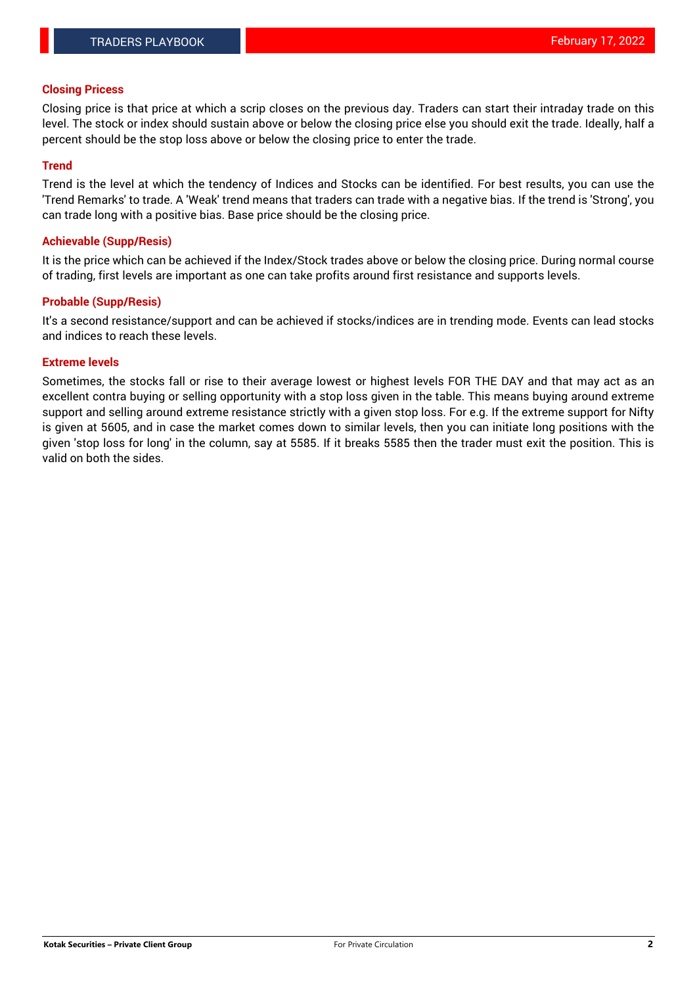#### **Closing Pricess**

Closing price is that price at which a scrip closes on the previous day. Traders can start their intraday trade on this level. The stock or index should sustain above or below the closing price else you should exit the trade. Ideally, half a percent should be the stop loss above or below the closing price to enter the trade.

#### **Trend**

Trend is the level at which the tendency of Indices and Stocks can be identified. For best results, you can use the 'Trend Remarks' to trade. A 'Weak' trend means that traders can trade with a negative bias. If the trend is 'Strong', you can trade long with a positive bias. Base price should be the closing price.

#### **Achievable (Supp/Resis)**

It is the price which can be achieved if the Index/Stock trades above or below the closing price. During normal course of trading, first levels are important as one can take profits around first resistance and supports levels.

#### **Probable (Supp/Resis)**

It's a second resistance/support and can be achieved if stocks/indices are in trending mode. Events can lead stocks and indices to reach these levels.

#### **Extreme levels**

Sometimes, the stocks fall or rise to their average lowest or highest levels FOR THE DAY and that may act as an excellent contra buying or selling opportunity with a stop loss given in the table. This means buying around extreme support and selling around extreme resistance strictly with a given stop loss. For e.g. If the extreme support for Nifty is given at 5605, and in case the market comes down to similar levels, then you can initiate long positions with the given 'stop loss for long' in the column, say at 5585. If it breaks 5585 then the trader must exit the position. This is valid on both the sides.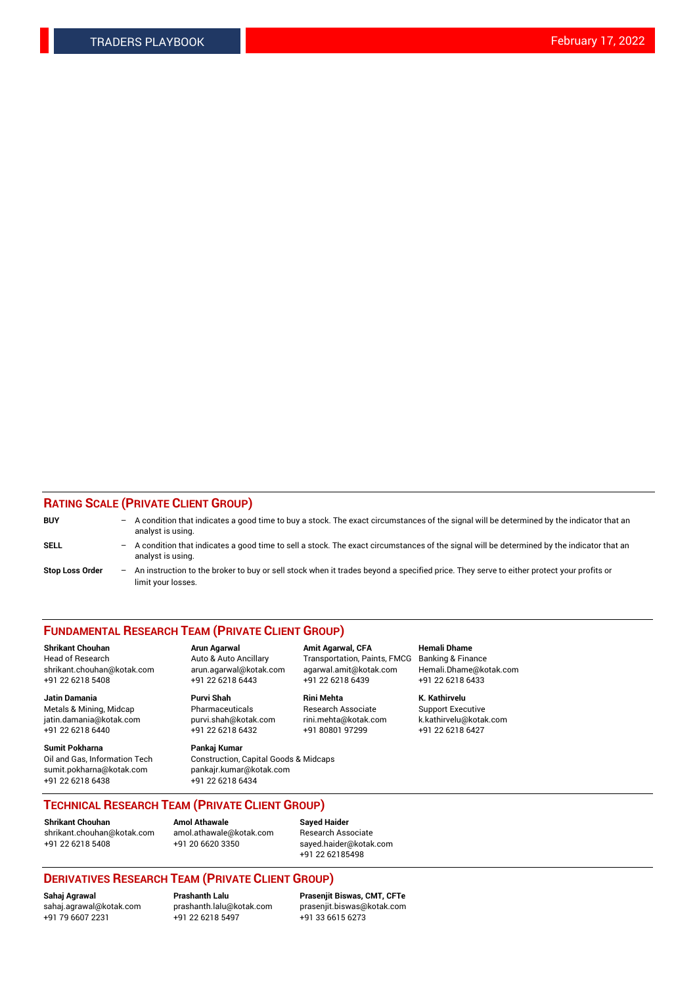#### **RATING SCALE (PRIVATE CLIENT GROUP)**

| <b>BUY</b>             | -                        | A condition that indicates a good time to buy a stock. The exact circumstances of the signal will be determined by the indicator that an<br>analyst is using.  |
|------------------------|--------------------------|----------------------------------------------------------------------------------------------------------------------------------------------------------------|
| <b>SELL</b>            | $\qquad \qquad -$        | A condition that indicates a good time to sell a stock. The exact circumstances of the signal will be determined by the indicator that an<br>analyst is using. |
| <b>Stop Loss Order</b> | $\overline{\phantom{0}}$ | An instruction to the broker to buy or sell stock when it trades beyond a specified price. They serve to either protect your profits or<br>limit your losses.  |

#### **FUNDAMENTAL RESEARCH TEAM (PRIVATE CLIENT GROUP)**

**Shrikant Chouhan Arun Agarwal Amit Agarwal, CFA Hemali Dhame** Head of Research Auto & Auto Ancillary Transportation, Paints, FMCG Banking & Finance shrikant.chouhan@kotak.com arun.agarwal@kotak.com agarwal.amit@kotak.com Hemali.Dhame@kotak.com

**Jatin Damania Purvi Shah Rini Mehta K. Kathirvelu** Metals & Mining, Midcap **Pharmaceuticals** Research Associate Support Executive jatin.damania@kotak.com [purvi.shah@kotak.com](mailto:purvi.shah@kotak.com) rini.mehta@kotak.com [k.kathirvelu@kotak.com](mailto:k.kathirvelu@kotak.com)  $+91$  22 6218 6440  $+91$  22 6218 6432

**Sumit Pokharna Pankaj Kumar** sumit.pokharna@kotak.com pankajr.kumar@kotak.com +91 22 6218 6438 +91 22 6218 6434

Oil and Gas, Information Tech Construction, Capital Goods & Midcaps

+91 22 6218 5408 +91 22 6218 6443 +91 22 6218 6439 +91 22 6218 6433

**TECHNICAL RESEARCH TEAM (PRIVATE CLIENT GROUP)**

**Shrikant Chouhan Amol Athawale Sayed Haider** [shrikant.chouhan@kotak.com](mailto:shrikant.chouhan@kotak.com) [amol.athawale@kotak.com](mailto:amol.athawale@kotak.com) Research Associate +91 22 6218 5408 +91 20 6620 3350 [sayed.haider@kotak.com](mailto:sayed.haider@kotak.com)

# +91 22 62185498

# **DERIVATIVES RESEARCH TEAM (PRIVATE CLIENT GROUP)**

 $+91$  22 6218 5497

**Sahaj Agrawal Prashanth Lalu Prasenjit Biswas, CMT, CFTe** [sahaj.agrawal@kotak.com](mailto:sahaj.agrawal@kotak.com) [prashanth.lalu@kotak.com](mailto:prashanth.lalu@kotak.com) [prasenjit.biswas@kotak.com](mailto:prasenjit.biswas@kotak.com)